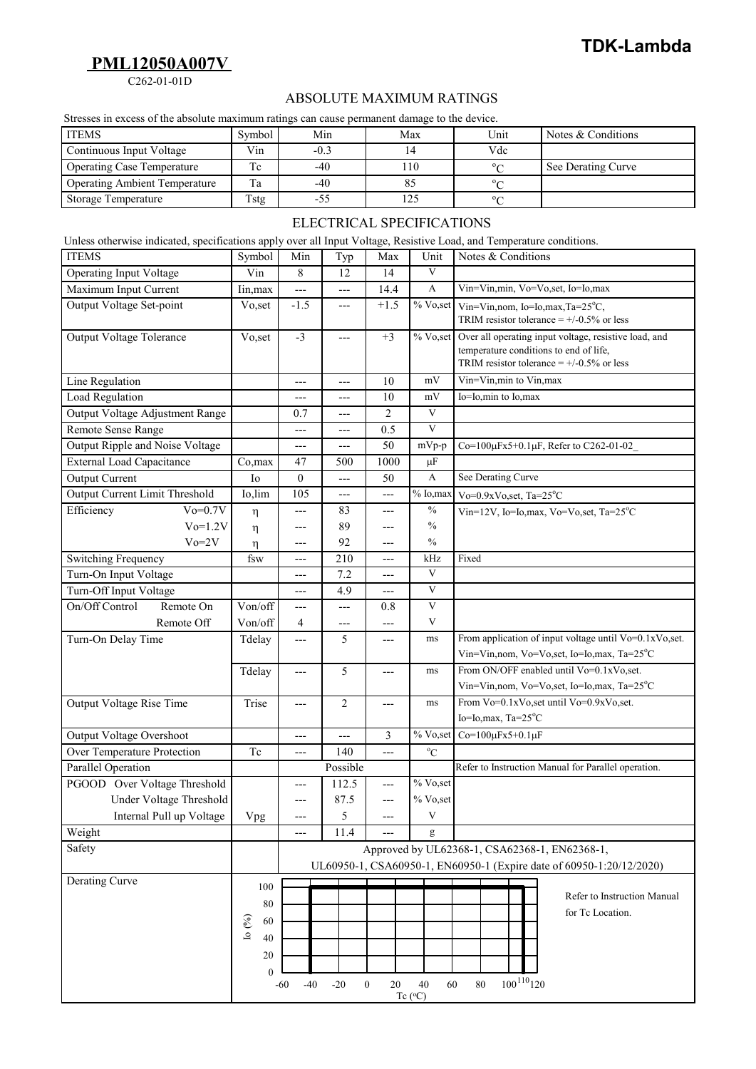## **PML12050A007V**

C262-01-01D

## ABSOLUTE MAXIMUM RATINGS

|                                                                                                                      |            |          |                                                                                              |                |        | ADSOLUTE MAAINIUM NATIINUS       |                                                       |                                                        |
|----------------------------------------------------------------------------------------------------------------------|------------|----------|----------------------------------------------------------------------------------------------|----------------|--------|----------------------------------|-------------------------------------------------------|--------------------------------------------------------|
|                                                                                                                      |            |          | Stresses in excess of the absolute maximum ratings can cause permanent damage to the device. |                |        |                                  |                                                       |                                                        |
| <b>ITEMS</b>                                                                                                         |            | Symbol   | Min                                                                                          |                | Max    |                                  | Unit                                                  | Notes & Conditions                                     |
| Continuous Input Voltage                                                                                             |            | Vin      | $-0.3$                                                                                       |                | 14     |                                  | Vdc                                                   |                                                        |
| <b>Operating Case Temperature</b>                                                                                    |            | Tc       | $-40$                                                                                        |                | 110    |                                  | $^{\circ}C$                                           | See Derating Curve                                     |
| <b>Operating Ambient Temperature</b>                                                                                 |            | Ta       | $-40$                                                                                        |                | 85     |                                  | $^{\circ}C$                                           |                                                        |
| <b>Storage Temperature</b>                                                                                           |            | Tstg     | $-55$                                                                                        |                | 125    |                                  | $^{\circ}C$                                           |                                                        |
|                                                                                                                      |            |          |                                                                                              |                |        | <b>ELECTRICAL SPECIFICATIONS</b> |                                                       |                                                        |
| Unless otherwise indicated, specifications apply over all Input Voltage, Resistive Load, and Temperature conditions. |            |          |                                                                                              |                |        |                                  |                                                       |                                                        |
| <b>ITEMS</b>                                                                                                         |            | Symbol   | Min<br>Typ                                                                                   |                | Max    | Unit                             | Notes & Conditions                                    |                                                        |
| <b>Operating Input Voltage</b>                                                                                       |            | Vin      | 8                                                                                            | 12             | 14     | $\overline{\mathbf{V}}$          |                                                       |                                                        |
| Maximum Input Current                                                                                                |            | Iin, max | ---                                                                                          | ---            | 14.4   | A                                | Vin=Vin,min, Vo=Vo,set, Io=Io,max                     |                                                        |
| Output Voltage Set-point                                                                                             |            | Vo, set  | $-1.5$                                                                                       | $---$          | $+1.5$ | % Vo,set                         | Vin=Vin, nom, Io=Io, max, Ta= $25^{\circ}$ C,         |                                                        |
|                                                                                                                      |            |          |                                                                                              |                |        |                                  | TRIM resistor tolerance = $+/0.5%$ or less            |                                                        |
| Output Voltage Tolerance                                                                                             |            | Vo, set  | $-3$                                                                                         | ---            | $+3$   | % Vo,set                         | Over all operating input voltage, resistive load, and |                                                        |
|                                                                                                                      |            |          |                                                                                              |                |        |                                  | temperature conditions to end of life,                |                                                        |
|                                                                                                                      |            |          |                                                                                              |                |        |                                  |                                                       | TRIM resistor tolerance = $+/0.5%$ or less             |
| Line Regulation                                                                                                      |            |          | ---                                                                                          | ---            | 10     | mV                               | Vin=Vin,min to Vin,max                                |                                                        |
| Load Regulation                                                                                                      |            |          | ---                                                                                          | ---            | 10     | mV                               | Io=Io,min to Io,max                                   |                                                        |
| Output Voltage Adjustment Range                                                                                      |            |          | 0.7                                                                                          | ---            | 2      | V                                |                                                       |                                                        |
| Remote Sense Range                                                                                                   |            |          | $---$                                                                                        | $---$          | 0.5    | V                                |                                                       |                                                        |
| Output Ripple and Noise Voltage                                                                                      |            |          | ---                                                                                          | ---            | 50     | $mVp-p$                          |                                                       | Co=100μFx5+0.1μF, Refer to C262-01-02                  |
| <b>External Load Capacitance</b>                                                                                     |            | Co, max  | 47                                                                                           | 500            | 1000   | $\mu$ F                          |                                                       |                                                        |
| Output Current                                                                                                       |            | Io       | $\theta$                                                                                     | $---$          | 50     | A                                | See Derating Curve                                    |                                                        |
| Output Current Limit Threshold                                                                                       |            | Io,lim   | 105                                                                                          | $---$          | ---    | $\overline{\%}$ Io, max          | Vo=0.9xVo, set, $Ta=25^{\circ}C$                      |                                                        |
| Efficiency                                                                                                           | $Vo=0.7V$  | η        | ---                                                                                          | 83             | ---    | $\frac{0}{0}$                    |                                                       | Vin=12V, Io=Io, max, Vo=Vo, set, Ta= $25^{\circ}$ C    |
|                                                                                                                      | $Vo=1.2V$  | η        | ---                                                                                          | 89             | ---    | $\frac{0}{0}$                    |                                                       |                                                        |
|                                                                                                                      | $Vo=2V$    | η        | ---                                                                                          | 92             | ---    | $\frac{0}{0}$                    |                                                       |                                                        |
| Switching Frequency                                                                                                  |            | fsw      | ---                                                                                          | 210            | ---    | kHz                              | Fixed                                                 |                                                        |
| Turn-On Input Voltage                                                                                                |            |          | ---                                                                                          | 7.2            | ---    | $\mathbf{V}$                     |                                                       |                                                        |
| Turn-Off Input Voltage                                                                                               |            |          | ---                                                                                          | 4.9            | ---    | $\mathbf{V}$                     |                                                       |                                                        |
| On/Off Control                                                                                                       | Remote On  | Von/off  | ---                                                                                          | $---$          | 0.8    | $\overline{\mathbf{V}}$          |                                                       |                                                        |
|                                                                                                                      | Remote Off | Von/off  | 4                                                                                            | ---            | ---    | V                                |                                                       |                                                        |
| Turn-On Delay Time                                                                                                   |            | Tdelay   | ---                                                                                          | 5              | ---    | ms                               |                                                       | From application of input voltage until Vo=0.1xVo,set. |
|                                                                                                                      |            |          |                                                                                              |                |        |                                  |                                                       | Vin=Vin,nom, Vo=Vo,set, Io=Io,max, Ta=25°C             |
|                                                                                                                      |            | Tdelay   | ---                                                                                          | 5              | ---    | ms                               |                                                       | From ON/OFF enabled until Vo=0.1xVo,set.               |
|                                                                                                                      |            |          |                                                                                              |                |        |                                  |                                                       | Vin=Vin,nom, Vo=Vo,set, Io=Io,max, Ta=25°C             |
| Output Voltage Rise Time                                                                                             |            | Trise    | ---                                                                                          | $\overline{c}$ | $---$  | ms                               |                                                       | From Vo=0.1xVo, set until Vo=0.9xVo, set.              |
|                                                                                                                      |            |          |                                                                                              |                |        |                                  | Io=Io,max, Ta=25°C                                    |                                                        |
| <b>Output Voltage Overshoot</b>                                                                                      |            |          | ---                                                                                          | $---$          | 3      | % Vo,set                         | $Co=100 \mu Fx5+0.1 \mu F$                            |                                                        |
| Over Temperature Protection                                                                                          |            | Tc       | ---                                                                                          | 140            | ---    | $^{\circ}C$                      |                                                       |                                                        |
| Parallel Operation                                                                                                   |            |          |                                                                                              | Possible       |        |                                  |                                                       | Refer to Instruction Manual for Parallel operation.    |
|                                                                                                                      |            |          |                                                                                              |                |        |                                  |                                                       |                                                        |

| PGOOD Over Voltage Threshold |                                                             | ---                                                                                                                   | 112.5 | ---                | $%$ Vo, set                      |                       |                                                 |
|------------------------------|-------------------------------------------------------------|-----------------------------------------------------------------------------------------------------------------------|-------|--------------------|----------------------------------|-----------------------|-------------------------------------------------|
| Under Voltage Threshold      |                                                             | ---                                                                                                                   | 87.5  | ---                | $%$ Vo, set                      |                       |                                                 |
| Internal Pull up Voltage     | Vpg                                                         | $---$                                                                                                                 | 5     | ---                | V                                |                       |                                                 |
| Weight                       |                                                             | $---$                                                                                                                 | 11.4  | ---                | g                                |                       |                                                 |
| Safety                       |                                                             | Approved by UL62368-1, CSA62368-1, EN62368-1,<br>UL60950-1, CSA60950-1, EN60950-1 (Expire date of 60950-1:20/12/2020) |       |                    |                                  |                       |                                                 |
| Derating Curve               | 100<br>80<br>Io $(%)$<br>60<br>40<br>20<br>$\boldsymbol{0}$ | $-60$<br>$-40$                                                                                                        | $-20$ | $\mathbf{0}$<br>20 | 60<br>40<br>$Tc$ ( $^{\circ}$ C) | $100^{110}$ 120<br>80 | Refer to Instruction Manual<br>for Tc Location. |

## **TDK-Lambda**